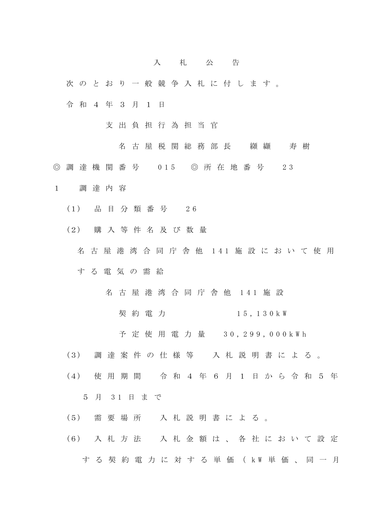## 入 札 公 告

- 次 の と お り 一 般 競 争 入 札 に 付 し ま す 。
- 令 和 4 年 3 月 1 日
	- 支 出 負 担 行 為 担 当 官
		- 名古屋税関総務部長 纐纈 寿樹
- ◎ 調 達 機 関 番 号 015 ◎ 所 在 地 番 号 2 3
- 1 調 達 内 容
	- (1) 品 目 分 類 番 号 2 6
	- (2) 購 入 等 件 名 及 び 数 量
		- 名 古 屋 港 湾 合 同 庁 舎 他 141 施 設 に お い て 使 用 す る 電 気 の 需 給
			- 名 古 屋 港 湾 合 同 庁 舎 他 1 4 1 施 設
				- 契 約 電 力 15, 130 k W
				- 予 定 使 用 電 力 量 30, 2 9 9 , 0 0 0 k W h
	- (3) 調 達 案 件 の 仕 様 等 入 札 説 明 書 に よ る 。
	- (4) 使 用 期 間 令 和 4 年 6 月 1 日 か ら 令 和 5 年

5 月 3 1 日 ま で

- (5) 需 要 場 所 入 札 説 明 書 に よ る 。
- (6) 入 札 方 法 入 札 金 額 は 、 各 社 に お い て 設 定 す る 契 約 電 力 に 対 す る 単 価 ( k W 単 価 、 同 一 月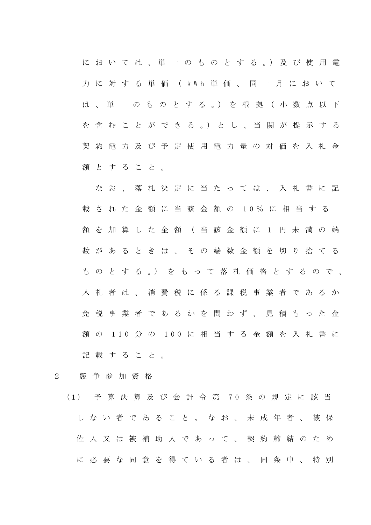に お い て は 、 単 一 の も の と す る 。) 及 び 使 用 電 力 に 対 す る 単 価 ( k W h 単 価 、 同 一 月 に お い て は 、 単 一 の も の と す る 。) を 根 拠 ( 小 数 点 以 下 を 含 む こ と が で き る 。) と し 、 当 関 が 提 示 す る 契 約 電 力 及 び 予 定 使 用 電 力 量 の 対 価 を 入 札 金 額 と す る こ と 。

な お 、 落 札 決 定 に 当 た っ て は 、 入 札 書 に 記 載 さ れ た 金 額 に 当 該 金 額 の 1 0 % に 相 当 す る 額 を 加 算 し た 金 額 ( 当 該 金 額 に 1 円 未 満 の 端 数 が あ る と き は 、 そ の 端 数 金 額 を 切 り 捨 て る も の と す る 。) を も っ て 落 札 価 格 と す る の で 、 入 札 者 は 、 消 費 税 に 係 る 課 税 事 業 者 で あ る か 免 税 事 業 者 で あ る か を 問 わ ず 、 見 積 も っ た 金 額 の 1 1 0 分 の 100 に 相 当 す る 金 額 を 入 札 書 に 記載すること。

- 2 競 争 参 加 資 格
	- (1) 予 算 決 算 及 び 会 計 令 第 7 0 条 の 規 定 に 該 当 し な い 者 で あ る こ と 。 な お 、 未 成 年 者 、 被 保 佐 人 又 は 被 補 助 人 で あ っ て 、 契 約 締 結 の た め に 必 要 な 同 意 を 得 て い る 者 は 、 同 条 中 、 特 別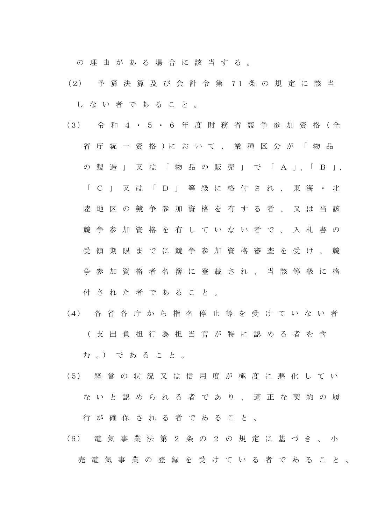の 理 由 が あ る 場 合 に 該 当 す る 。

- (2) 予 算 決 算 及 び 会 計 令 第 7 1 条 の 規 定 に 該 当 し な い 者 で あ る こ と 。
- (3) 令 和 4 ・ 5 ・ 6 年 度 財 務 省 競 争 参 加 資 格 ( 全 省 庁 統 一 資 格 ) に お い て 、 業 種 区 分 が 「 物 品 の 製 造 」 又 は 「 物 品 の 販 売 」 で 「 A 」、「B」、 「 C 」 又 は 「 D 」 等 級 に 格 付 さ れ 、 東 海 ・ 北 陸 地 区 の 競 争 参 加 資 格 を 有 す る 者 、 又 は 当 該 競 争 参 加 資 格 を 有 し て い な い 者 で 、 入 札 書 の 受 領 期 限 ま で に 競 争 参 加 資 格 審 査 を 受 け 、 競 争 参 加 資 格 者 名 簿 に 登 載 さ れ 、 当 該 等 級 に 格 付 さ れ た 者 で あ る こ と 。
- (4) 各 省 各 庁 か ら 指 名 停 止 等 を 受 け て い な い 者 ( 支 出 負 担 行 為 担 当 官 が 特 に 認 め る 者 を 含 む 。) で あ る こ と 。
- (5) 経 営 の 状 況 又 は 信 用 度 が 極 度 に 悪 化 し て い な い と 認 め ら れ る 者 で あ り 、 適 正 な 契 約 の 履 行 が 確 保 さ れ る 者 で あ る こ と 。
- (6) 電 気 事 業 法 第 2 条 の 2 の 規 定 に 基 づ き 、 小 売電気事業の登録を受けている 者であること。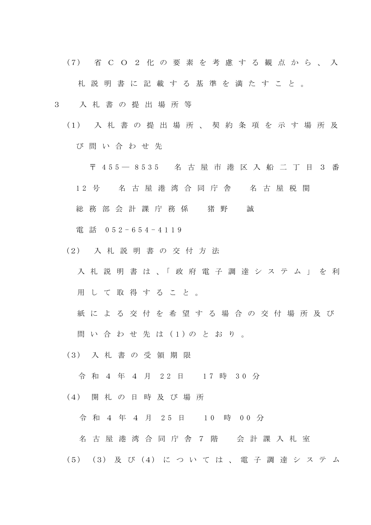(7) 省 C O 2 化 の 要 素 を 考 慮 す る 観 点 か ら 、 入 札 説 明 書 に 記 載 す る 基 準 を 満 た す こ と 。

- 3 入 札 書 の 提 出 場 所 等
	- (1) 入 札 書 の 提 出 場 所 、 契 約 条 項 を 示 す 場 所 及 び 問 い 合 わ せ 先
		- 〒 4 5 5 ― 8535 名 古 屋 市 港 区 入 船 二 丁 目 3 番
		- 1 2 号 名 古 屋 港 湾 合 同 庁 舎 名 古 屋 税 関
		- 総 務 部 会計課 庁 務 係 猪 野 誠
		- 電 話 0 5 2 6 5 4 4 119
	- (2) 入 札 説 明 書 の 交 付 方 法
		- 入 札 説 明 書 は 、「 政 府 電 子 調 達 シ ス テ ム 」 を 利 用 し て 取 得 す る こ と 。
		- 紙 に よ る 交 付 を 希 望 す る 場 合 の 交 付 場 所 及 び
		- 問 い 合 わ せ 先 は (1)の と お り 。
	- (3) 入 札 書 の 受 領 期 限
		- 令 和 4 年 4 月 22 日 17 時 30 分
	- (4) 開 札 の 日 時 及 び 場 所

令 和 4 年 4 月 25 日 10 時 00 分

- 名 古 屋 港 湾 合 同 庁 舎 7 階 会 計 課 入 札 室
- (5) (3) 及 び (4) に つ い て は 、 電 子 調 達 シ ス テ ム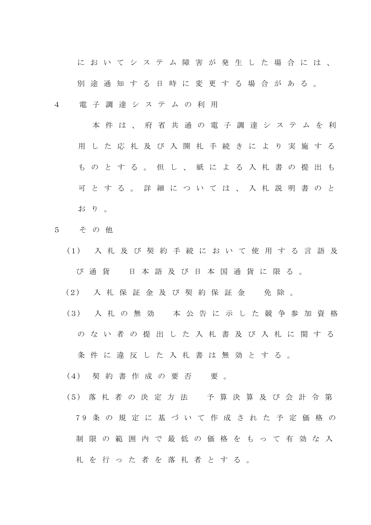に お い て シ ス テ ム 障 害 が 発 生 し た 場 合 に は 、

別 途 通 知 す る 日 時 に 変 更 す る 場 合 が あ る 。

4 電 子 調 達 シ ス テ ム の 利 用

 本 件 は 、 府 省 共 通 の 電 子 調 達 シ ス テ ム を 利 用 し た 応 札 及 び 入 開 札 手 続 き に よ り 実 施 す る も の と す る 。 但 し 、 紙 に よ る 入 札 書 の 提 出 も 可 と す る 。 詳 細 に つ い て は 、 入 札 説 明 書 の と お り 。

- 5 そ の 他
	- (1) 入 札 及 び 契 約 手 続 に お い て 使 用 す る 言 語 及 び 通 貨 日 本 語 及 び 日 本 国 通 貨 に 限 る 。
	- (2) 入 札 保 証 金 及 び 契 約 保 証 金 の 免 除 。
	- (3) 入 札 の 無 効 本 公 告 に 示 し た 競 争 参 加 資 格
		- の な い 者 の 提 出 し た 入 札 書 及 び 入 札 に 関 す る

条 件 に 違 反 し た 入 札 書 は 無 効 と す る 。

- (4) 契 約 書 作 成 の 要 否 の 要 。
- (5) 落 札 者 の 決 定 方 法 予 算 決 算 及 び 会 計 令 第 7 9 条 の 規 定 に 基 づ い て 作 成 さ れ た 予 定 価 格 の 制 限 の 範 囲 内 で 最 低 の 価 格 を も っ て 有 効 な 入 札 を 行 っ た 者 を 落 札 者 と す る 。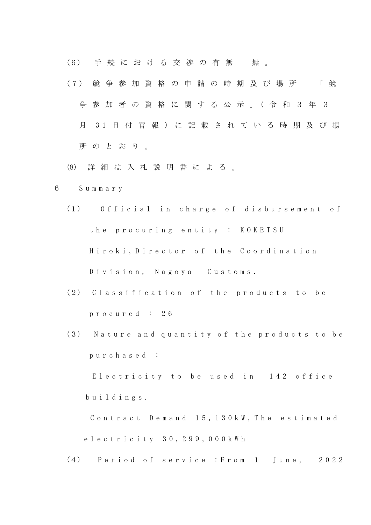(6) 手続における交渉の有無 無。

- (7) 競 争 参 加 資 格 の 申 請 の 時 期 及 び 場 所 ― 「 競 争 参 加 者 の 資 格 に 関 す る 公 示 」( 令 和 3 年 3 月 3 1 日 付 官 報 ) に 記 載 さ れ て い る 時 期 及 び 場 所 の と お り 。
- (8) 詳 細 は 入 札 説 明 書 に よ る 。
- 6 S u m m a r y
	- (1) Official in charge of disbursement of the procuring entity : KOKETSU Hiroki, Director of the Coordination Division, Nagoya Customs.
	- (2) Classification of the products to be p r o c u r e d : 2 6
	- (3) Nature and quantity of the products to be p u r c h a s e d :

Electricity to be used in 142 office b u i l d i n g s .

Contract Demand 15, 130 kW, The estimated e l e c t r i c i t y 30, 2 9 9 , 0 0 0 k W h

(4) Period of service : From 1 June, 2022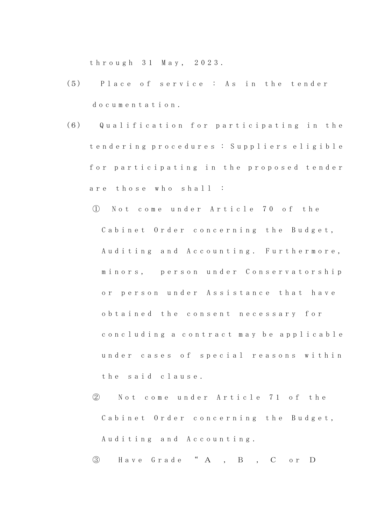t h r o u g h 3 1 M a y , 2 0 2 3 .

- (5) Place of service: As in the tender d o c u m e n t a t i o n .
- (6) Q u a l i f i c a t i o n f o r p a r t i c i p a t i n g i n t h e t e n d e r i n g p r o c e d u r e s : S u p p l i e r s e l i g i b l e for participating in the proposed tender are those who shall :
	- ① N o t c o m e u n d e r A r t i c l e 7 0 o f t h e Cabinet Order concerning the Budget, Auditing and Accounting. Furthermore, minors, person under Conservatorship or person under Assistance that have o b t a i n e d t h e c o n s e n t n e c e s s a r y f o r c o n c l u d ing a c o n t r a c t m a y b e a p p l i c a b l e under cases of special reasons within the said clause.
	- ② N o t c o m e u n d e r A r t i c l e 7 1 o f the Cabinet Order concerning the Budget, Auditing and Accounting.

③ H a v e G r a d e " A , B , C o r D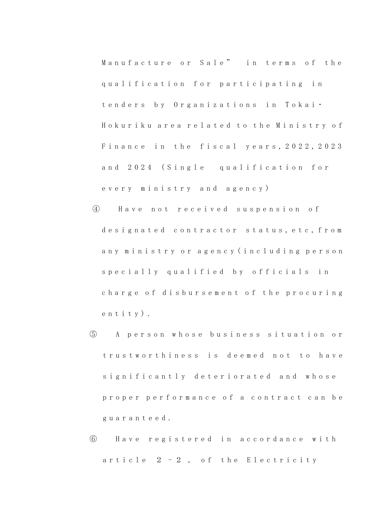Manufacture or Sale" in terms of the qualification for participating in t e n d e r s b y O r g a n i z a t i o n s i n T o k a i · Hokuriku area related to the Ministry of Finance in the fiscal years, 2022, 2023 and 2024 (Single qualification for e v e r y m i n i s t r y a n d a g e n c y )

- ④ H a v e n o t r e c e i v e d s u s p e n s i o n o f designated contractor status, etc, from any ministry or agency (including person specially qualified by officials in charge of disbursement of the procuring e n t i t y ) .
- ⑤ A p e r s o n w h o s e b u s i n e s s s i t u a t i o n o r trustworthiness is deemed not to have significantly deteriorated and whose proper performance of a contract can be g u a r a n t e e d .
- ⑥ H a v e r e g i s t e r e d i n a c c o r d a n c e w i t h article  $2 - 2$ , of the Electricity